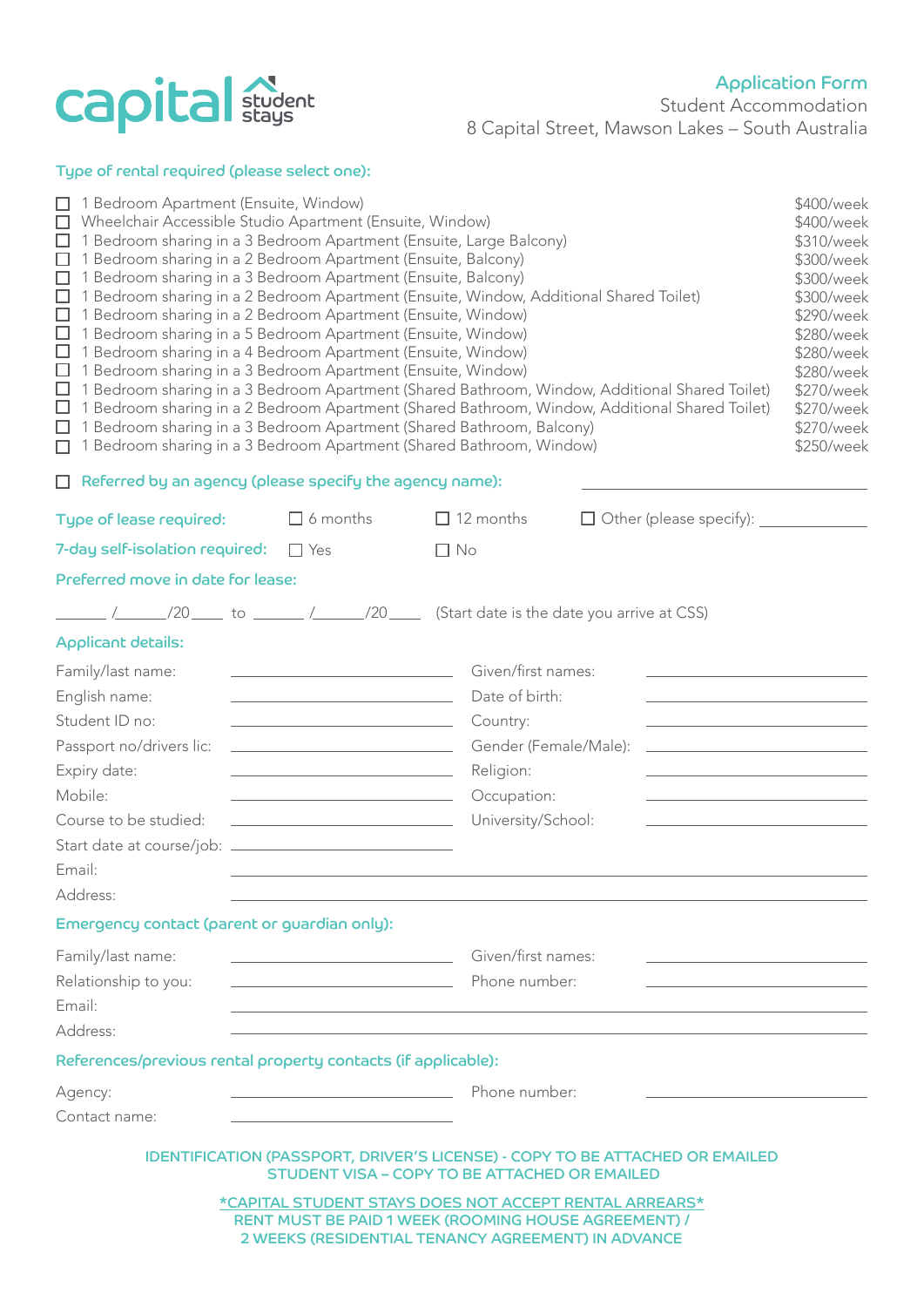

## Type of rental required (please select one):

| □ 1 Bedroom Apartment (Ensuite, Window)<br>\$400/week<br>Wheelchair Accessible Studio Apartment (Ensuite, Window)<br>\$400/week<br>1 Bedroom sharing in a 3 Bedroom Apartment (Ensuite, Large Balcony)<br>\$310/week<br>$\Box$<br>1 Bedroom sharing in a 2 Bedroom Apartment (Ensuite, Balcony)<br>\$300/week<br>$\Box$<br>1 Bedroom sharing in a 3 Bedroom Apartment (Ensuite, Balcony)<br>\$300/week<br>$\Box$<br>1 Bedroom sharing in a 2 Bedroom Apartment (Ensuite, Window, Additional Shared Toilet)<br>\$300/week<br>ш<br>1 Bedroom sharing in a 2 Bedroom Apartment (Ensuite, Window)<br>\$290/week<br>$\Box$<br>□<br>1 Bedroom sharing in a 5 Bedroom Apartment (Ensuite, Window)<br>\$280/week<br>□<br>1 Bedroom sharing in a 4 Bedroom Apartment (Ensuite, Window)<br>\$280/week<br>□<br>1 Bedroom sharing in a 3 Bedroom Apartment (Ensuite, Window)<br>\$280/week<br>$\Box$<br>1 Bedroom sharing in a 3 Bedroom Apartment (Shared Bathroom, Window, Additional Shared Toilet)<br>\$270/week<br>$\Box$<br>1 Bedroom sharing in a 2 Bedroom Apartment (Shared Bathroom, Window, Additional Shared Toilet)<br>\$270/week<br>1 Bedroom sharing in a 3 Bedroom Apartment (Shared Bathroom, Balcony)<br>\$270/week<br>$\Box$<br>1 Bedroom sharing in a 3 Bedroom Apartment (Shared Bathroom, Window)<br>\$250/week<br>П<br>$\Box$ Referred by an agency (please specify the agency name): |                                                                                                                                                                                                                                                                                                                                    |                                                                                                                             |                                |  |
|--------------------------------------------------------------------------------------------------------------------------------------------------------------------------------------------------------------------------------------------------------------------------------------------------------------------------------------------------------------------------------------------------------------------------------------------------------------------------------------------------------------------------------------------------------------------------------------------------------------------------------------------------------------------------------------------------------------------------------------------------------------------------------------------------------------------------------------------------------------------------------------------------------------------------------------------------------------------------------------------------------------------------------------------------------------------------------------------------------------------------------------------------------------------------------------------------------------------------------------------------------------------------------------------------------------------------------------------------------------------------------------------------|------------------------------------------------------------------------------------------------------------------------------------------------------------------------------------------------------------------------------------------------------------------------------------------------------------------------------------|-----------------------------------------------------------------------------------------------------------------------------|--------------------------------|--|
| Type of lease required:                                                                                                                                                                                                                                                                                                                                                                                                                                                                                                                                                                                                                                                                                                                                                                                                                                                                                                                                                                                                                                                                                                                                                                                                                                                                                                                                                                          | $\Box$ 6 months                                                                                                                                                                                                                                                                                                                    | $\Box$ 12 months                                                                                                            | $\Box$ Other (please specify): |  |
| 7-day self-isolation required:                                                                                                                                                                                                                                                                                                                                                                                                                                                                                                                                                                                                                                                                                                                                                                                                                                                                                                                                                                                                                                                                                                                                                                                                                                                                                                                                                                   | $\Box$ Yes                                                                                                                                                                                                                                                                                                                         | $\Box$ No                                                                                                                   |                                |  |
| Preferred move in date for lease:                                                                                                                                                                                                                                                                                                                                                                                                                                                                                                                                                                                                                                                                                                                                                                                                                                                                                                                                                                                                                                                                                                                                                                                                                                                                                                                                                                |                                                                                                                                                                                                                                                                                                                                    |                                                                                                                             |                                |  |
|                                                                                                                                                                                                                                                                                                                                                                                                                                                                                                                                                                                                                                                                                                                                                                                                                                                                                                                                                                                                                                                                                                                                                                                                                                                                                                                                                                                                  |                                                                                                                                                                                                                                                                                                                                    | $\frac{1}{20}$ /20 $\frac{1}{20}$ to $\frac{1}{20}$ /20 $\frac{1}{20}$ (Start date is the date you arrive at CSS)           |                                |  |
| <b>Applicant details:</b>                                                                                                                                                                                                                                                                                                                                                                                                                                                                                                                                                                                                                                                                                                                                                                                                                                                                                                                                                                                                                                                                                                                                                                                                                                                                                                                                                                        |                                                                                                                                                                                                                                                                                                                                    |                                                                                                                             |                                |  |
| Family/last name:<br>English name:<br>Student ID no:<br>Passport no/drivers lic:<br>Expiry date:<br>Mobile:<br>Course to be studied:<br>Email:<br>Address:                                                                                                                                                                                                                                                                                                                                                                                                                                                                                                                                                                                                                                                                                                                                                                                                                                                                                                                                                                                                                                                                                                                                                                                                                                       | the control of the control of the control of the control of the control of<br><u> 1989 - Johann Barn, mars and de Branch Barn, mars and de Branch Barn, mars and de Branch Barn, mars and de Br</u><br><u> 1989 - Johann Stein, mars an deus Amerikaansk kommunister (</u><br><u> 1989 - Johann Barn, fransk politik (d. 1989)</u> | Given/first names:<br>Date of birth:<br>Country:<br>Gender (Female/Male):<br>Religion:<br>Occupation:<br>University/School: |                                |  |
| Emergency contact (parent or guardian only):                                                                                                                                                                                                                                                                                                                                                                                                                                                                                                                                                                                                                                                                                                                                                                                                                                                                                                                                                                                                                                                                                                                                                                                                                                                                                                                                                     |                                                                                                                                                                                                                                                                                                                                    |                                                                                                                             |                                |  |
| Family/last name:<br>Relationship to you:<br>Email:<br>Address:                                                                                                                                                                                                                                                                                                                                                                                                                                                                                                                                                                                                                                                                                                                                                                                                                                                                                                                                                                                                                                                                                                                                                                                                                                                                                                                                  | Phone number:                                                                                                                                                                                                                                                                                                                      | Given/first names:                                                                                                          |                                |  |
| References/previous rental property contacts (if applicable):                                                                                                                                                                                                                                                                                                                                                                                                                                                                                                                                                                                                                                                                                                                                                                                                                                                                                                                                                                                                                                                                                                                                                                                                                                                                                                                                    |                                                                                                                                                                                                                                                                                                                                    |                                                                                                                             |                                |  |
| Agency:<br>Contact name:                                                                                                                                                                                                                                                                                                                                                                                                                                                                                                                                                                                                                                                                                                                                                                                                                                                                                                                                                                                                                                                                                                                                                                                                                                                                                                                                                                         | <u> 1989 - Johann Barn, mars and de Branch Barn, mars and de Branch Barn, mars and de Branch Barn, mars and de Br</u>                                                                                                                                                                                                              | Phone number:                                                                                                               |                                |  |
| <b>IDENTIFICATION (PASSPORT, DRIVER'S LICENSE) - COPY TO BE ATTACHED OR EMAILED</b><br><b>STUDENT VISA - COPY TO BE ATTACHED OR EMAILED</b><br>*CAPITAL STUDENT STAYS DOES NOT ACCEPT RENTAL ARREARS*<br>RENT MUST BE PAID 1 WEEK (ROOMING HOUSE AGREEMENT) /<br>2 WEEKS (RESIDENTIAL TENANCY AGREEMENT) IN ADVANCE                                                                                                                                                                                                                                                                                                                                                                                                                                                                                                                                                                                                                                                                                                                                                                                                                                                                                                                                                                                                                                                                              |                                                                                                                                                                                                                                                                                                                                    |                                                                                                                             |                                |  |